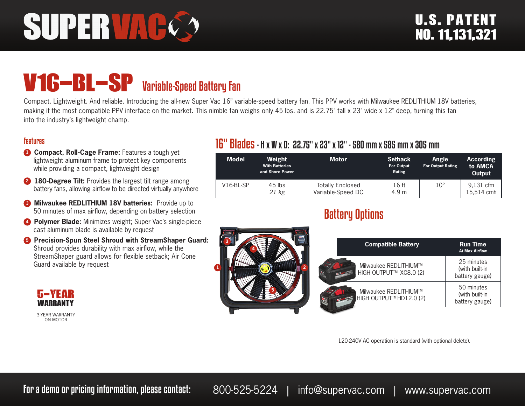# SUPERVAC

# V16-BL-SP Variable-Speed Battery Fan

Compact. Lightweight. And reliable. Introducing the all-new Super Vac 16" variable-speed battery fan. This PPV works with Milwaukee REDLITHIUM 18V batteries, making it the most compatible PPV interface on the market. This nimble fan weighs only 45 lbs. and is 22.75" tall x 23" wide x 12" deep, turning this fan into the industry's lightweight champ.

#### Features

- **1 Compact, Roll-Cage Frame:** Features a tough yet lightweight aluminum frame to protect key components while providing a compact, lightweight design
- **2 180-Degree Tilt:** Provides the largest tilt range among battery fans, allowing airflow to be directed virtually anywhere
- **8 Milwaukee REDLITHIUM 18V batteries:** Provide up to 50 minutes of max airflow, depending on battery selection
- **4 Polymer Blade:** Minimizes weight; Super Vac's single-piece cast aluminum blade is available by request
- **<sup>6</sup>** Precision-Spun Steel Shroud with StreamShaper Guard: Shroud provides durability with max airflow, while the StreamShaper guard allows for flexible setback; Air Cone Guard available by request

#### **5-year 1999 1999 1999 1999 1999 1999 1999 1999 1999 1999 1999 1999** warranty

3-YEAR WARRANTY ON MOTOR

### 16" Blades- H x W x D: 22.75" x 23" x 12" - 580 mm x 585 mm x 305 mm

| <b>Model</b> | Weight<br><b>With Batteries</b><br>and Shore Power | <b>Motor</b>                                 | <b>Setback</b><br><b>For Output</b><br>Rating | <b>Angle</b><br><b>For Output Rating</b> | <b>According</b><br>to AMCA<br>Output |
|--------------|----------------------------------------------------|----------------------------------------------|-----------------------------------------------|------------------------------------------|---------------------------------------|
| $V16-BL-SP$  | $45$ lbs<br>21 kg                                  | <b>Totally Enclosed</b><br>Variable-Speed DC | 16 ft<br>4.9 <sub>m</sub>                     | $10^{\circ}$                             | 9,131 cfm<br>15.514 cmh               |

## Battery Options

| 418 | <b>Compatible Battery</b>                        | <u>Ru</u> n Time<br><b>At Max Airflow</b>      |
|-----|--------------------------------------------------|------------------------------------------------|
|     | Milwaukee REDLITHIUM™<br>HIGH OUTPUT™ XC8.0 (2)  | 25 minutes<br>(with built-in<br>battery gauge) |
|     | Milwaukee REDLITHIUM™<br>HIGH OUTPUT™ HD12.0 (2) | 50 minutes<br>(with built-in<br>battery gauge) |

120-240V AC operation is standard (with optional delete).

For a demo or pricing information, please contact: 800-525-5224 | info@supervac.com | www.supervac.com